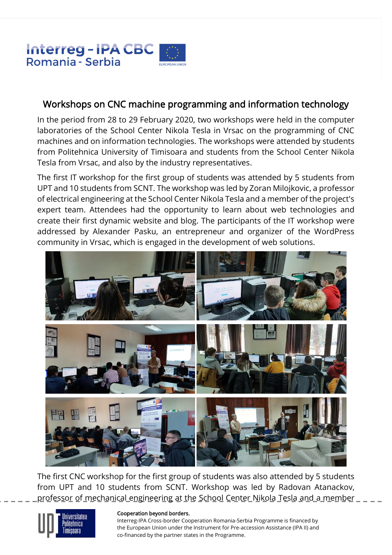

## Workshops on CNC machine programming and information technology

In the period from 28 to 29 February 2020, two workshops were held in the computer laboratories of the School Center Nikola Tesla in Vrsac on the programming of CNC machines and on information technologies. The workshops were attended by students from Politehnica University of Timisoara and students from the School Center Nikola Tesla from Vrsac, and also by the industry representatives.

The first IT workshop for the first group of students was attended by 5 students from UPT and 10 students from SCNT. The workshop was led by Zoran Milojkovic, a professor of electrical engineering at the School Center Nikola Tesla and a member of the project's expert team. Attendees had the opportunity to learn about web technologies and create their first dynamic website and blog. The participants of the IT workshop were addressed by Alexander Pasku, an entrepreneur and organizer of the WordPress community in Vrsac, which is engaged in the development of web solutions.



The first CNC workshop for the first group of students was also attended by 5 students from UPT and 10 students from SCNT. Workshop was led by Radovan Atanackov, professor of mechanical engineering at the School Center Nikola Tesla and a member  $\_$   $\_$   $\_$ 



## Cooperation beyond borders.

Interreg-IPA Cross-border Cooperation Romania-Serbia Programme is financed by the European Union under the Instrument for Pre-accession Assistance (IPA II) and co-financed by the partner states in the Programme.